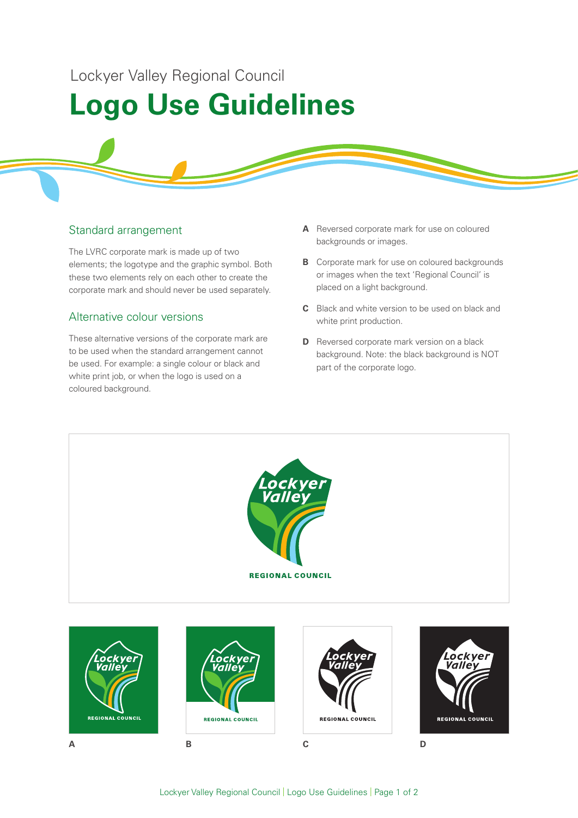Lockyer Valley Regional Council

# **Logo Use Guidelines**

### Standard arrangement

The LVRC corporate mark is made up of two elements; the logotype and the graphic symbol. Both these two elements rely on each other to create the corporate mark and should never be used separately.

### Alternative colour versions

These alternative versions of the corporate mark are to be used when the standard arrangement cannot be used. For example: a single colour or black and white print job, or when the logo is used on a coloured background.

- **A** Reversed corporate mark for use on coloured backgrounds or images.
- **B** Corporate mark for use on coloured backgrounds or images when the text 'Regional Council' is placed on a light background.
- **C** Black and white version to be used on black and white print production.
- **D** Reversed corporate mark version on a black background. Note: the black background is NOT part of the corporate logo.